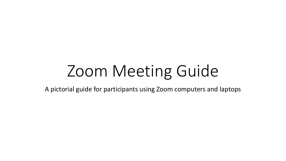## Zoom Meeting Guide

A pictorial guide for participants using Zoom computers and laptops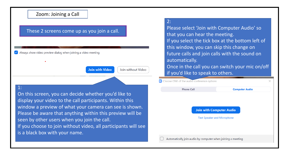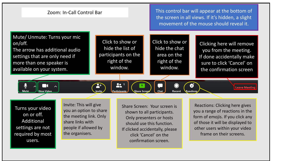

users.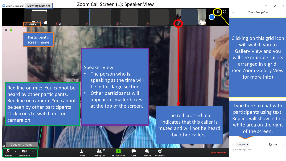Meeting Number Zoom Meeting ID:

星山

 $\mathscr{L}$ 

**Zoom Group Chat** 

 $0<sub>f</sub>$ 

Participant's screen name

**X** Maya B



 $%$  St.

Red line on mic: You cannot be heard by other participants. Red line on camera: You cannot be seen by other participants Click icons to switch mic or camera on.

Speaker's Name

 $\sqrt{2}$ 

**Start Video** 

Speaker View:

 $22^{35}$ 

**Participants** 

 $2+$ 

Invite

- The person who is speaking at the time will be in this large section
- Other participants will appear in smaller boxes at the top of the screen.

**Share Screen** 

The red crossed mic indicates that this caller is muted and will not be heard by other callers.

€

**Reactions** 

 $\circ$ 

Record

Chat

**B** 

Clicking on this grid icon will switch you to Gallery View and you will see multiple callers arranged in a grid. (See Zoom Gallery View for more info)

Type here to chat with participants using text. Replies will show in this white area on the right of the screen.

To: Everyone v

 $\bigcirc$  File  $\cdots$ 

Type message here...

**Leave Meetin**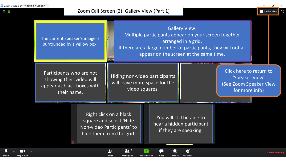$\odot$   $\odot$ 



 $\mathbf{a}$   $^{\circ}$ 

Participants

**Share Screen** 

Chat

Record

**Reactions** 

 $\mathbf{A}^+$ 

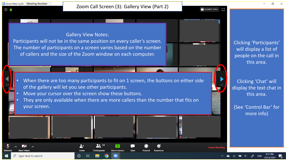$\odot$   $\odot$ 

## Gallery View Notes:

Participants will not be in the same position on every caller's screen. The number of participants on a screen varies based on the number of callers and the size of the Zoom window on each computer.

- When there are too many participants to fit on 1 screen, the buttons on either side of the gallery will let you see other participants.
- Move your cursor over the screen show these buttons.
- They are only available when there are more callers than the number that fits on your screen.



Clicking 'Participants' will display a list of people on the call in this area.

Clicking 'Chat' will display the text chat in this area.

(See 'Control Bar' for more info)